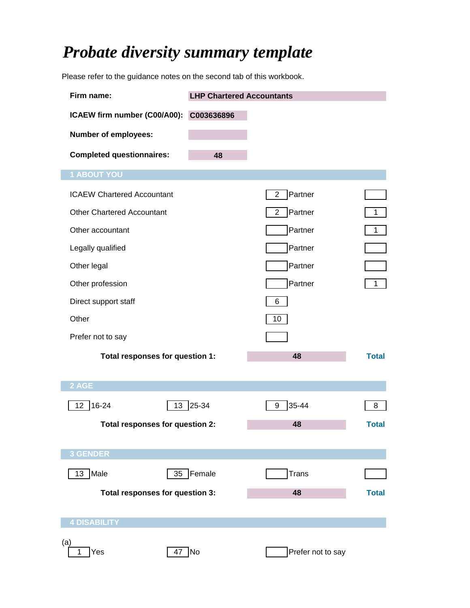# *Probate diversity summary template*

Please refer to the guidance notes on the second tab of this workbook.

| Firm name:                              | <b>LHP Chartered Accountants</b> |                           |              |
|-----------------------------------------|----------------------------------|---------------------------|--------------|
| ICAEW firm number (C00/A00): C003636896 |                                  |                           |              |
| <b>Number of employees:</b>             |                                  |                           |              |
| <b>Completed questionnaires:</b>        | 48                               |                           |              |
| <b>1 ABOUT YOU</b>                      |                                  |                           |              |
| <b>ICAEW Chartered Accountant</b>       |                                  | Partner<br>$\overline{2}$ |              |
| <b>Other Chartered Accountant</b>       |                                  | Partner<br>$\overline{2}$ | $\mathbf 1$  |
| Other accountant                        |                                  | Partner                   | 1            |
| Legally qualified                       |                                  | Partner                   |              |
| Other legal                             |                                  | Partner                   |              |
| Other profession                        |                                  | Partner                   | $\mathbf{1}$ |
| Direct support staff                    |                                  | $6\overline{6}$           |              |
| Other                                   |                                  | 10                        |              |
| Prefer not to say                       |                                  |                           |              |
| Total responses for question 1:         |                                  | 48                        | <b>Total</b> |
| 2 AGE                                   |                                  |                           |              |
| 12 16-24                                | $13$ 25-34                       | 35-44<br>9                | 8            |
| Total responses for question 2:         |                                  | 48                        | <b>Total</b> |
| <b>3 GENDER</b>                         |                                  |                           |              |
| 13 Male                                 | 35 Female                        | <b>Trans</b>              |              |
| Total responses for question 3:         |                                  | 48                        | <b>Total</b> |
| <b>4 DISABILITY</b>                     |                                  |                           |              |
| (a)                                     |                                  |                           |              |
| Yes<br>1                                | $47$ No                          | Prefer not to say         |              |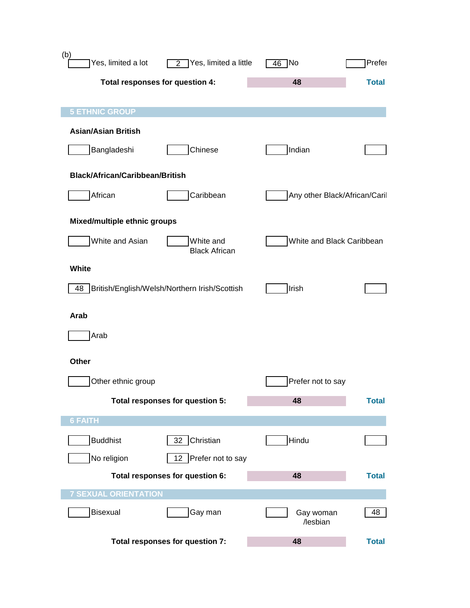| (b)<br>Yes, limited a lot<br>Yes, limited a little<br>$\overline{2}$ | 46 No                         | Prefer       |
|----------------------------------------------------------------------|-------------------------------|--------------|
| Total responses for question 4:                                      | 48                            | <b>Total</b> |
| <b>5 ETHNIC GROUP</b>                                                |                               |              |
| <b>Asian/Asian British</b>                                           |                               |              |
| Bangladeshi<br>Chinese                                               | Indian                        |              |
| <b>Black/African/Caribbean/British</b>                               |                               |              |
| Caribbean<br>African                                                 | Any other Black/African/Caril |              |
| Mixed/multiple ethnic groups                                         |                               |              |
| White and Asian<br>White and<br><b>Black African</b>                 | White and Black Caribbean     |              |
| White                                                                |                               |              |
| 48   British/English/Welsh/Northern Irish/Scottish                   | Irish                         |              |
| Arab                                                                 |                               |              |
| Arab                                                                 |                               |              |
| Other                                                                |                               |              |
| Other ethnic group                                                   | Prefer not to say             |              |
| Total responses for question 5:                                      | 48                            | <b>Total</b> |
| <b>6 FAITH</b>                                                       |                               |              |
| <b>Buddhist</b><br>32 Christian                                      | Hindu                         |              |
| No religion<br>12 Prefer not to say                                  |                               |              |
| Total responses for question 6:                                      | 48                            | <b>Total</b> |
| <b>7 SEXUAL ORIENTATION</b>                                          |                               |              |
| Bisexual<br>Gay man                                                  | Gay woman<br>/lesbian         | 48           |
| Total responses for question 7:                                      | 48                            | <b>Total</b> |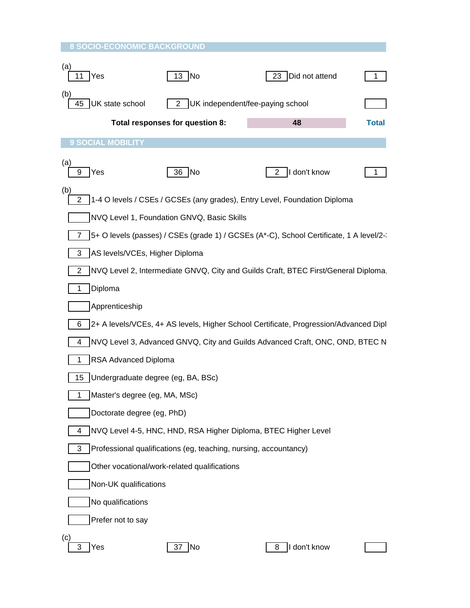|                                                                       | <b>8 SOCIO-ECONOMIC BACKGROUND</b> |                                            |                                                                                        |              |  |
|-----------------------------------------------------------------------|------------------------------------|--------------------------------------------|----------------------------------------------------------------------------------------|--------------|--|
| (a)                                                                   |                                    |                                            |                                                                                        |              |  |
| 11                                                                    | Yes                                | 13 No                                      | Did not attend<br>23                                                                   | 1            |  |
| (b)<br>45                                                             | UK state school                    | 2                                          | UK independent/fee-paying school                                                       |              |  |
|                                                                       |                                    | Total responses for question 8:            | 48                                                                                     | <b>Total</b> |  |
|                                                                       | <b>9 SOCIAL MOBILITY</b>           |                                            |                                                                                        |              |  |
| (a)<br>9                                                              | Yes                                | 36 No                                      | I don't know<br>2                                                                      | 1            |  |
| (b)<br>$\overline{2}$                                                 |                                    |                                            | 1-4 O levels / CSEs / GCSEs (any grades), Entry Level, Foundation Diploma              |              |  |
|                                                                       |                                    | NVQ Level 1, Foundation GNVQ, Basic Skills |                                                                                        |              |  |
|                                                                       |                                    |                                            | 5+ O levels (passes) / CSEs (grade 1) / GCSEs (A*-C), School Certificate, 1 A level/2- |              |  |
| 3                                                                     | AS levels/VCEs, Higher Diploma     |                                            |                                                                                        |              |  |
|                                                                       |                                    |                                            | NVQ Level 2, Intermediate GNVQ, City and Guilds Craft, BTEC First/General Diploma,     |              |  |
| Diploma                                                               |                                    |                                            |                                                                                        |              |  |
|                                                                       | Apprenticeship                     |                                            |                                                                                        |              |  |
| 6                                                                     |                                    |                                            | 2+ A levels/VCEs, 4+ AS levels, Higher School Certificate, Progression/Advanced Dipl   |              |  |
| 4                                                                     |                                    |                                            | NVQ Level 3, Advanced GNVQ, City and Guilds Advanced Craft, ONC, OND, BTEC N           |              |  |
|                                                                       | RSA Advanced Diploma               |                                            |                                                                                        |              |  |
| 15<br>Undergraduate degree (eg, BA, BSc)                              |                                    |                                            |                                                                                        |              |  |
| Master's degree (eg, MA, MSc)                                         |                                    |                                            |                                                                                        |              |  |
| Doctorate degree (eg, PhD)                                            |                                    |                                            |                                                                                        |              |  |
| NVQ Level 4-5, HNC, HND, RSA Higher Diploma, BTEC Higher Level        |                                    |                                            |                                                                                        |              |  |
| Professional qualifications (eg, teaching, nursing, accountancy)<br>3 |                                    |                                            |                                                                                        |              |  |
| Other vocational/work-related qualifications                          |                                    |                                            |                                                                                        |              |  |
| Non-UK qualifications                                                 |                                    |                                            |                                                                                        |              |  |
| No qualifications                                                     |                                    |                                            |                                                                                        |              |  |
|                                                                       | Prefer not to say                  |                                            |                                                                                        |              |  |
| (c)<br>3                                                              | Yes                                | 37 No                                      | I don't know<br>8                                                                      |              |  |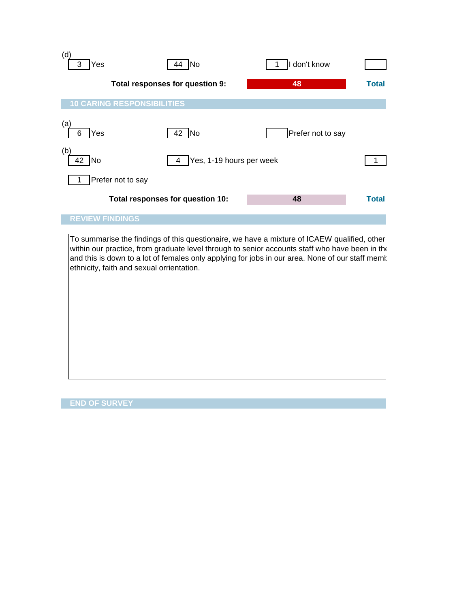| (d)<br>Yes                               | 44 No                            | don't know        |              |
|------------------------------------------|----------------------------------|-------------------|--------------|
|                                          | Total responses for question 9:  | 48                | <b>Total</b> |
|                                          | 10 CARING RESPONSIBILITIES       |                   |              |
| (a)<br>Yes<br>n                          | 42 No                            | Prefer not to say |              |
| (b)<br>$\overline{\phantom{a}}$ No<br>42 | Yes, 1-19 hours per week<br>4    |                   |              |
|                                          | Prefer not to say                |                   |              |
|                                          | Total responses for question 10: | 48                | <b>Total</b> |
| <b>REVIEW FINDINGS</b>                   |                                  |                   |              |
|                                          |                                  |                   |              |

To summarise the findings of this questionaire, we have a mixture of ICAEW qualified, other within our practice, from graduate level through to senior accounts staff who have been in th $\epsilon$ and this is down to a lot of females only applying for jobs in our area. None of our staff memt  $\vert$ ethnicity, faith and sexual orrientation.

**END OF SURVEY**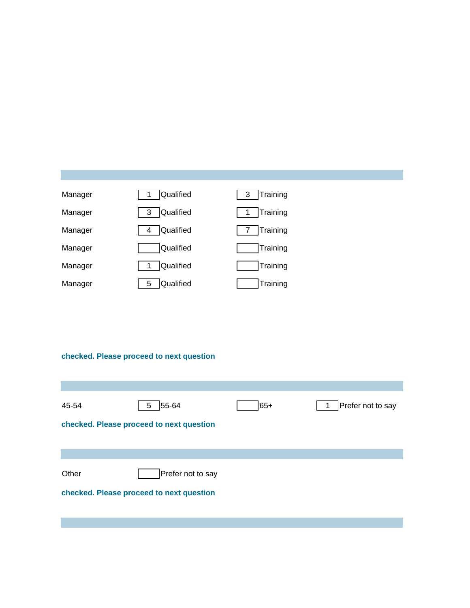| Manager | Qualified      | Training<br>3 |
|---------|----------------|---------------|
| Manager | Qualified<br>3 | Training      |
| Manager | Qualified<br>4 | Training      |
| Manager | Qualified      | Training      |
| Manager | Qualified      | Training      |
| Manager | Qualified<br>5 | Training      |

## **Total checked. Please proceed to next question**

| 45-54 | 55-64<br>5                               | $65+$ | Prefer not to say |
|-------|------------------------------------------|-------|-------------------|
|       | checked. Please proceed to next question |       |                   |
|       |                                          |       |                   |
|       |                                          |       |                   |
|       |                                          |       |                   |
| Other | Prefer not to say                        |       |                   |
|       | checked. Please proceed to next question |       |                   |
|       |                                          |       |                   |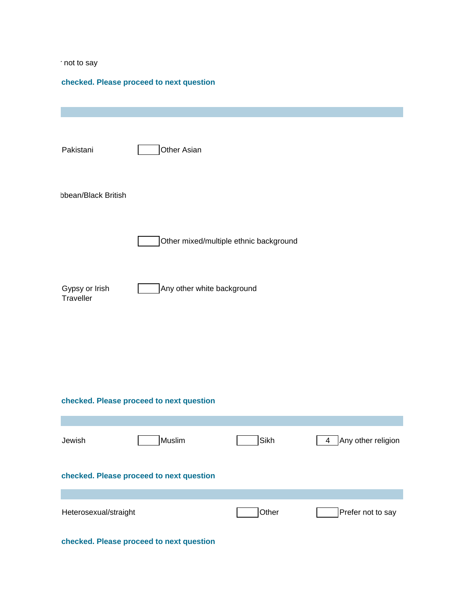### r not to say

## **Total checked. Please proceed to next question**

| Pakistani                   | Other Asian                              |                                        |                                               |
|-----------------------------|------------------------------------------|----------------------------------------|-----------------------------------------------|
| bbean/Black British         |                                          |                                        |                                               |
|                             |                                          | Other mixed/multiple ethnic background |                                               |
| Gypsy or Irish<br>Traveller | Any other white background               |                                        |                                               |
|                             |                                          |                                        |                                               |
|                             | checked. Please proceed to next question |                                        |                                               |
| Jewish                      | Muslim                                   | Sikh                                   | Any other religion<br>$\overline{\mathbf{4}}$ |
|                             | checked. Please proceed to next question |                                        |                                               |
| Heterosexual/straight       |                                          | Other                                  | Prefer not to say                             |

**Total checked. Please proceed to next question**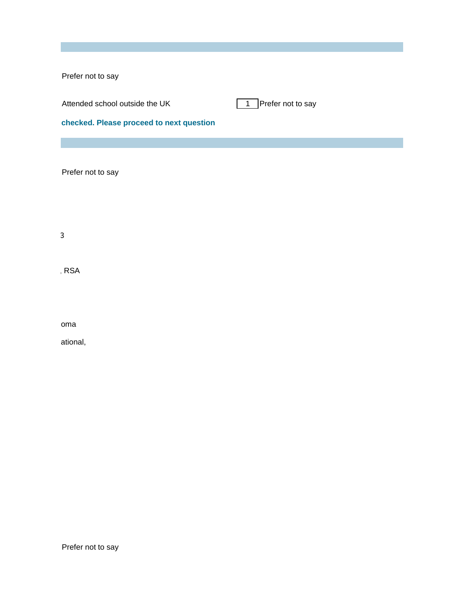|              | Prefer not to say                        |                     |
|--------------|------------------------------------------|---------------------|
|              | Attended school outside the UK           | 1 Prefer not to say |
|              | checked. Please proceed to next question |                     |
|              |                                          |                     |
|              | Prefer not to say                        |                     |
|              |                                          |                     |
|              |                                          |                     |
| $\mathbf{3}$ |                                          |                     |
|              | , RSA                                    |                     |
|              |                                          |                     |
|              |                                          |                     |
|              | oma<br>ational,                          |                     |
|              |                                          |                     |
|              |                                          |                     |
|              |                                          |                     |
|              |                                          |                     |
|              |                                          |                     |
|              |                                          |                     |
|              |                                          |                     |